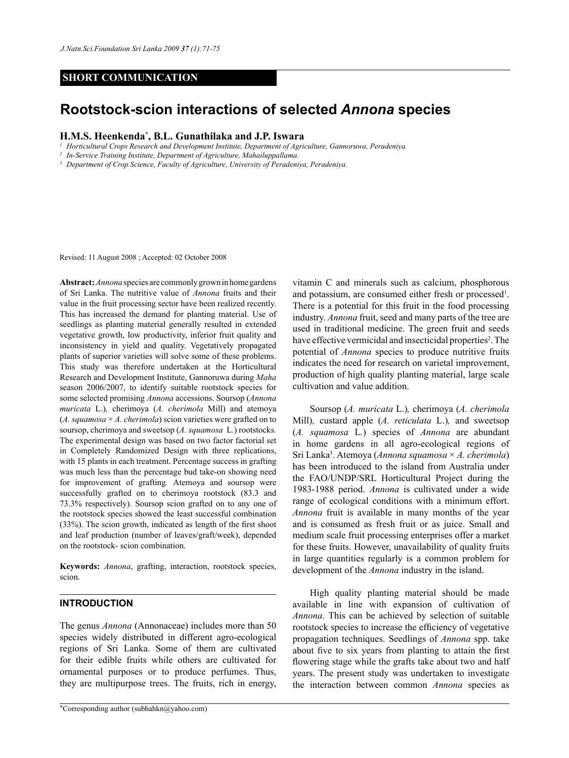# **SHORT COMMUNICATION**

# **Rootstock-scion interactions of selected** *Annona* **species**

## **H.M.S. Heenkenda\* , B.L. Gunathilaka and J.P. Iswara**

*<sup>1</sup> Horticultural Crops Research and Development Institute, Department of Agriculture, Gannoruwa, Peradeniya.*

*<sup>2</sup> In-Service Training Institute, Department of Agriculture, Mahailuppallama.*

*<sup>3</sup> Department of Crop Science, Faculty of Agriculture, University of Peradeniya, Peradeniya.*

Revised: 11 August 2008 ; Accepted: 02 October 2008

**Abstract:** *Annona* species are commonly grown in home gardens of Sri Lanka. The nutritive value of *Annona* fruits and their value in the fruit processing sector have been realized recently. This has increased the demand for planting material. Use of seedlings as planting material generally resulted in extended vegetative growth, low productivity, inferior fruit quality and inconsistency in yield and quality. Vegetatively propagated plants of superior varieties will solve some of these problems. This study was therefore undertaken at the Horticultural Research and Development Institute, Gannoruwa during *Maha* season 2006/2007, to identify suitable rootstock species for some selected promising *Annona* accessions. Soursop (*Annona muricata* L.)*,* cherimoya (*A. cherimola* Mill) and atemoya  $(A. *squamosa* × A. *cherimola*)$  scion varieties were grafted on to soursop, cherimoya and sweetsop (*A. squamosa* L*.*) rootstocks*.*  The experimental design was based on two factor factorial set in Completely Randomized Design with three replications, with 15 plants in each treatment. Percentage success in grafting was much less than the percentage bud take-on showing need for improvement of grafting*.* Atemoya and soursop were successfully grafted on to cherimoya rootstock (83.3 and 73.3% respectively). Soursop scion grafted on to any one of the rootstock species showed the least successful combination (33%). The scion growth, indicated as length of the first shoot and leaf production (number of leaves/graft/week), depended on the rootstock- scion combination.

**Keywords:** *Annona*, grafting, interaction, rootstock species, scion.

#### **INTRODUCTION**

The genus *Annona* (Annonaceae) includes more than 50 species widely distributed in different agro-ecological regions of Sri Lanka. Some of them are cultivated for their edible fruits while others are cultivated for ornamental purposes or to produce perfumes. Thus, they are multipurpose trees. The fruits, rich in energy,

vitamin C and minerals such as calcium, phosphorous and potassium, are consumed either fresh or processed<sup>1</sup>. There is a potential for this fruit in the food processing industry. *Annona* fruit, seed and many parts of the tree are used in traditional medicine. The green fruit and seeds have effective vermicidal and insecticidal properties<sup>2</sup>. The potential of *Annona* species to produce nutritive fruits indicates the need for research on varietal improvement, production of high quality planting material, large scale cultivation and value addition.

Soursop (*A. muricata* L.)*,* cherimoya (*A. cherimola* Mill)*,* custard apple (*A. reticulata* L.)*,* and sweetsop (*A. squamosa* L*.*) species of *Annona* are abundant in home gardens in all agro-ecological regions of Sri Lanka3 . Atemoya (*Annona squamosa* × *A. cherimola*) has been introduced to the island from Australia under the FAO/UNDP/SRL Horticultural Project during the 1983-1988 period. *Annona* is cultivated under a wide range of ecological conditions with a minimum effort. *Annona* fruit is available in many months of the year and is consumed as fresh fruit or as juice. Small and medium scale fruit processing enterprises offer a market for these fruits. However, unavailability of quality fruits in large quantities regularly is a common problem for development of the *Annona* industry in the island.

High quality planting material should be made available in line with expansion of cultivation of *Annona*. This can be achieved by selection of suitable rootstock species to increase the efficiency of vegetative propagation techniques. Seedlings of *Annona* spp. take about five to six years from planting to attain the first flowering stage while the grafts take about two and half years. The present study was undertaken to investigate the interaction between common *Annona* species as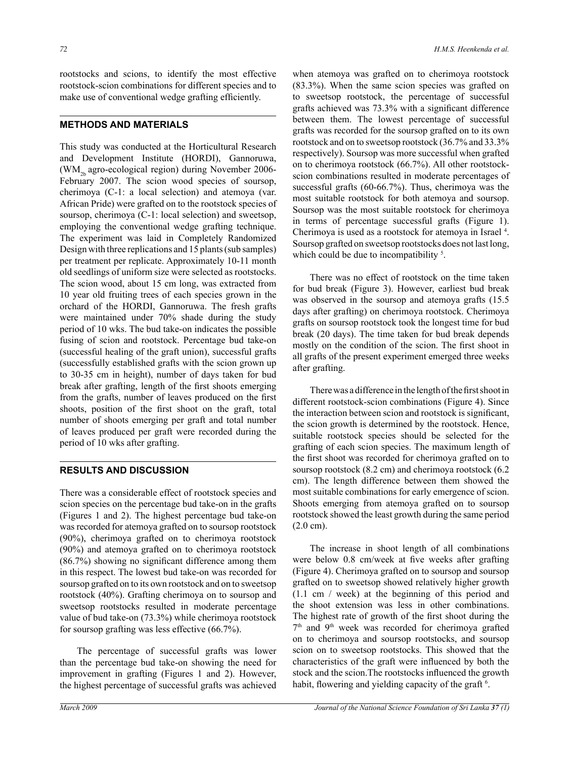rootstocks and scions, to identify the most effective rootstock-scion combinations for different species and to make use of conventional wedge grafting efficiently.

## **METHODS AND MATERIALS**

This study was conducted at the Horticultural Research and Development Institute (HORDI), Gannoruwa, (WM<sub>2b</sub> agro-ecological region) during November 2006-February 2007. The scion wood species of soursop, cherimoya (C-1: a local selection) and atemoya (var. African Pride) were grafted on to the rootstock species of soursop, cherimoya (C-1: local selection) and sweetsop, employing the conventional wedge grafting technique. The experiment was laid in Completely Randomized Design with three replications and 15 plants (sub samples) per treatment per replicate. Approximately 10-11 month old seedlings of uniform size were selected as rootstocks. The scion wood, about 15 cm long, was extracted from 10 year old fruiting trees of each species grown in the orchard of the HORDI, Gannoruwa. The fresh grafts were maintained under 70% shade during the study period of 10 wks. The bud take-on indicates the possible fusing of scion and rootstock. Percentage bud take-on (successful healing of the graft union), successful grafts (successfully established grafts with the scion grown up to 30-35 cm in height), number of days taken for bud break after grafting, length of the first shoots emerging from the grafts, number of leaves produced on the first shoots, position of the first shoot on the graft, total number of shoots emerging per graft and total number of leaves produced per graft were recorded during the period of 10 wks after grafting.

#### **RESULTS AND DISCUSSION**

There was a considerable effect of rootstock species and scion species on the percentage bud take-on in the grafts (Figures 1 and 2). The highest percentage bud take-on was recorded for atemoya grafted on to soursop rootstock (90%), cherimoya grafted on to cherimoya rootstock (90%) and atemoya grafted on to cherimoya rootstock (86.7%) showing no significant difference among them in this respect. The lowest bud take-on was recorded for soursop grafted on to its own rootstock and on to sweetsop rootstock (40%). Grafting cherimoya on to soursop and sweetsop rootstocks resulted in moderate percentage value of bud take-on (73.3%) while cherimoya rootstock for soursop grafting was less effective (66.7%).

The percentage of successful grafts was lower than the percentage bud take-on showing the need for improvement in grafting (Figures 1 and 2). However, the highest percentage of successful grafts was achieved when atemoya was grafted on to cherimoya rootstock (83.3%). When the same scion species was grafted on to sweetsop rootstock, the percentage of successful grafts achieved was 73.3% with a significant difference between them. The lowest percentage of successful grafts was recorded for the soursop grafted on to its own rootstock and on to sweetsop rootstock (36.7% and 33.3% respectively). Soursop was more successful when grafted on to cherimoya rootstock (66.7%). All other rootstockscion combinations resulted in moderate percentages of successful grafts (60-66.7%). Thus, cherimoya was the most suitable rootstock for both atemoya and soursop. Soursop was the most suitable rootstock for cherimoya in terms of percentage successful grafts (Figure 1). Cherimoya is used as a rootstock for atemoya in Israel 4. Soursop grafted on sweetsop rootstocks does not last long, which could be due to incompatibility<sup>5</sup>.

There was no effect of rootstock on the time taken for bud break (Figure 3). However, earliest bud break was observed in the soursop and atemoya grafts (15.5 days after grafting) on cherimoya rootstock. Cherimoya grafts on soursop rootstock took the longest time for bud break (20 days). The time taken for bud break depends mostly on the condition of the scion. The first shoot in all grafts of the present experiment emerged three weeks after grafting.

There was a difference in the length of the first shoot in different rootstock-scion combinations (Figure 4). Since the interaction between scion and rootstock is significant, the scion growth is determined by the rootstock. Hence, suitable rootstock species should be selected for the grafting of each scion species. The maximum length of the first shoot was recorded for cherimoya grafted on to soursop rootstock (8.2 cm) and cherimoya rootstock (6.2 cm). The length difference between them showed the most suitable combinations for early emergence of scion. Shoots emerging from atemoya grafted on to soursop rootstock showed the least growth during the same period (2.0 cm).

The increase in shoot length of all combinations were below 0.8 cm/week at five weeks after grafting (Figure 4). Cherimoya grafted on to soursop and soursop grafted on to sweetsop showed relatively higher growth (1.1 cm / week) at the beginning of this period and the shoot extension was less in other combinations. The highest rate of growth of the first shoot during the  $7<sup>th</sup>$  and  $9<sup>th</sup>$  week was recorded for cherimoya grafted on to cherimoya and soursop rootstocks, and soursop scion on to sweetsop rootstocks. This showed that the characteristics of the graft were influenced by both the stock and the scion.The rootstocks influenced the growth habit, flowering and yielding capacity of the graft <sup>6</sup>.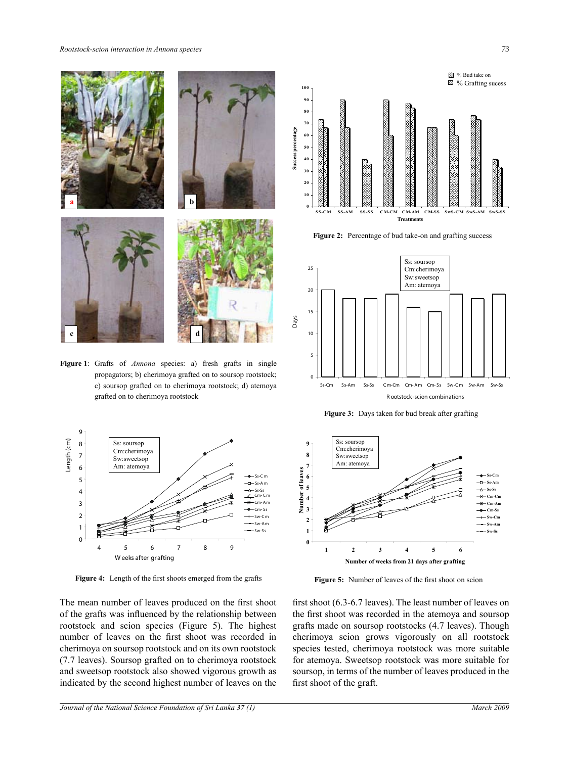*Rootstock-scion interaction in Annona species 73*



Figure 1: Grafts of *Annona* species: a) fresh grafts in single propagators; b) cherimoya grafted on to soursop rootstock; c) soursop grafted on to cherimoya rootstock; d) atemoya grafted on to cherimoya rootstock



Fig. 3. Length of the first s hoots emerged from the **Figure 4:** Length of the first shoots emerged from the grafts **Figure 5:** Number of leaves of the first sh

The mean number of leaves produced on the first shoot of the grafts was influenced by the relationship between rootstock and scion species (Figure 5). The highest number of leaves on the first shoot was recorded in cherimoya on soursop rootstock and on its own rootstock (7.7 leaves). Soursop grafted on to cherimoya rootstock and sweetsop rootstock also showed vigorous growth as indicated by the second highest number of leaves on the



Figure 2: Percentage of bud take-on and grafting success



**Figure 3:** Days taken for bud break after grafting



**Figure 5:** Number of leaves of the first shoot on scion

first shoot  $(6.3-6.7$  leaves). The least number of leaves on the first shoot was recorded in the atemoya and soursop grafts made on soursop rootstocks (4.7 leaves). Though cherimoya scion grows vigorously on all rootstock species tested, cherimoya rootstock was more suitable for atemoya. Sweetsop rootstock was more suitable for soursop, in terms of the number of leaves produced in the first shoot of the graft.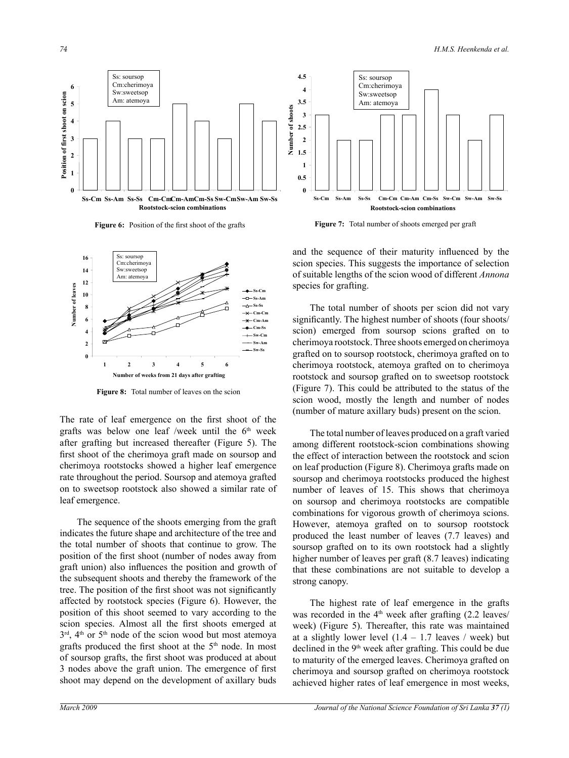





**Figure 6:** Position of the first shoot of the grafts **Figure 7:** Total number of shoots emerged per graft **Figure 7:** Total number of shoots emerged per graft



**0.5** Figure 8: Total number of leaves on the scion

The rate of leaf emergence on the first shoot of the grafts was below one leaf /week until the 6<sup>th</sup> week after grafting but increased thereafter (Figure 5). The first shoot of the cherimoya graft made on soursop and cherimoya rootstocks showed a higher leaf emergence rate throughout the period. Soursop and atemoya grafted on to sweetsop rootstock also showed a similar rate of leaf emergence.

The sequence of the shoots emerging from the graft indicates the future shape and architecture of the tree and the total number of shoots that continue to grow. The position of the first shoot (number of nodes away from graft union) also influences the position and growth of the subsequent shoots and thereby the framework of the tree. The position of the first shoot was not significantly affected by rootstock species (Figure 6). However, the position of this shoot seemed to vary according to the scion species. Almost all the first shoots emerged at  $3<sup>rd</sup>$ ,  $4<sup>th</sup>$  or  $5<sup>th</sup>$  node of the scion wood but most atemoya grafts produced the first shoot at the  $5<sup>th</sup>$  node. In most of soursop grafts, the first shoot was produced at about 3 nodes above the graft union. The emergence of first shoot may depend on the development of axillary buds

and the sequence of their maturity influenced by the scion species. This suggests the importance of selection of suitable lengths of the scion wood of different *Annona*  species for grafting.

The total number of shoots per scion did not vary significantly. The highest number of shoots (four shoots/ scion) emerged from soursop scions grafted on to cherimoya rootstock. Three shoots emerged on cherimoya grafted on to soursop rootstock, cherimoya grafted on to cherimoya rootstock, atemoya grafted on to cherimoya rootstock and soursop grafted on to sweetsop rootstock (Figure 7). This could be attributed to the status of the scion wood, mostly the length and number of nodes (number of mature axillary buds) present on the scion.

The total number of leaves produced on a graft varied among different rootstock-scion combinations showing the effect of interaction between the rootstock and scion on leaf production (Figure 8). Cherimoya grafts made on soursop and cherimoya rootstocks produced the highest number of leaves of 15. This shows that cherimoya on soursop and cherimoya rootstocks are compatible combinations for vigorous growth of cherimoya scions. However, atemoya grafted on to soursop rootstock produced the least number of leaves (7.7 leaves) and soursop grafted on to its own rootstock had a slightly higher number of leaves per graft (8.7 leaves) indicating that these combinations are not suitable to develop a strong canopy.

The highest rate of leaf emergence in the grafts was recorded in the  $4<sup>th</sup>$  week after grafting (2.2 leaves/ week) (Figure 5). Thereafter, this rate was maintained at a slightly lower level  $(1.4 - 1.7$  leaves / week) but declined in the  $9<sup>th</sup>$  week after grafting. This could be due to maturity of the emerged leaves. Cherimoya grafted on cherimoya and soursop grafted on cherimoya rootstock achieved higher rates of leaf emergence in most weeks,